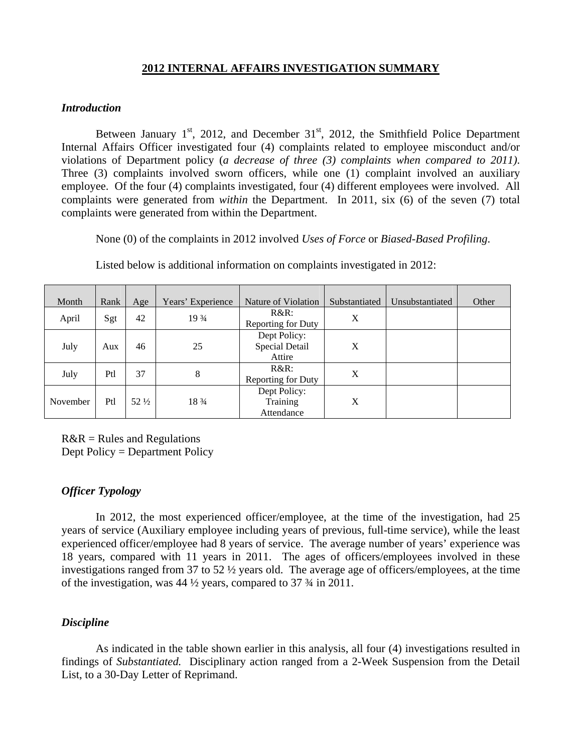# **2012 INTERNAL AFFAIRS INVESTIGATION SUMMARY**

#### *Introduction*

Between January  $1<sup>st</sup>$ , 2012, and December 31 $<sup>st</sup>$ , 2012, the Smithfield Police Department</sup> Internal Affairs Officer investigated four (4) complaints related to employee misconduct and/or violations of Department policy (*a decrease of three (3) complaints when compared to 2011)*. Three (3) complaints involved sworn officers, while one (1) complaint involved an auxiliary employee. Of the four (4) complaints investigated, four (4) different employees were involved. All complaints were generated from *within* the Department. In 2011, six (6) of the seven (7) total complaints were generated from within the Department.

None (0) of the complaints in 2012 involved *Uses of Force* or *Biased-Based Profiling*.

| Month    | Rank | Age             | Years' Experience | Nature of Violation                      | Substantiated | Unsubstantiated | Other |
|----------|------|-----------------|-------------------|------------------------------------------|---------------|-----------------|-------|
| April    | Sgt  | 42              | 19 3/4            | $R&R$ :<br>Reporting for Duty            | X             |                 |       |
| July     | Aux  | 46              | 25                | Dept Policy:<br>Special Detail<br>Attire | X             |                 |       |
| July     | Ptl  | 37              | 8                 | $R&R$ :<br>Reporting for Duty            | X             |                 |       |
| November | Ptl  | $52\frac{1}{2}$ | 18 3/4            | Dept Policy:<br>Training<br>Attendance   | X             |                 |       |

Listed below is additional information on complaints investigated in 2012:

 $R&R = Rules$  and Regulations Dept Policy = Department Policy

### *Officer Typology*

 In 2012, the most experienced officer/employee, at the time of the investigation, had 25 years of service (Auxiliary employee including years of previous, full-time service), while the least experienced officer/employee had 8 years of service. The average number of years' experience was 18 years, compared with 11 years in 2011. The ages of officers/employees involved in these investigations ranged from 37 to 52 ½ years old. The average age of officers/employees, at the time of the investigation, was 44 ½ years, compared to 37 ¾ in 2011.

### *Discipline*

As indicated in the table shown earlier in this analysis, all four (4) investigations resulted in findings of *Substantiated.* Disciplinary action ranged from a 2-Week Suspension from the Detail List, to a 30-Day Letter of Reprimand.